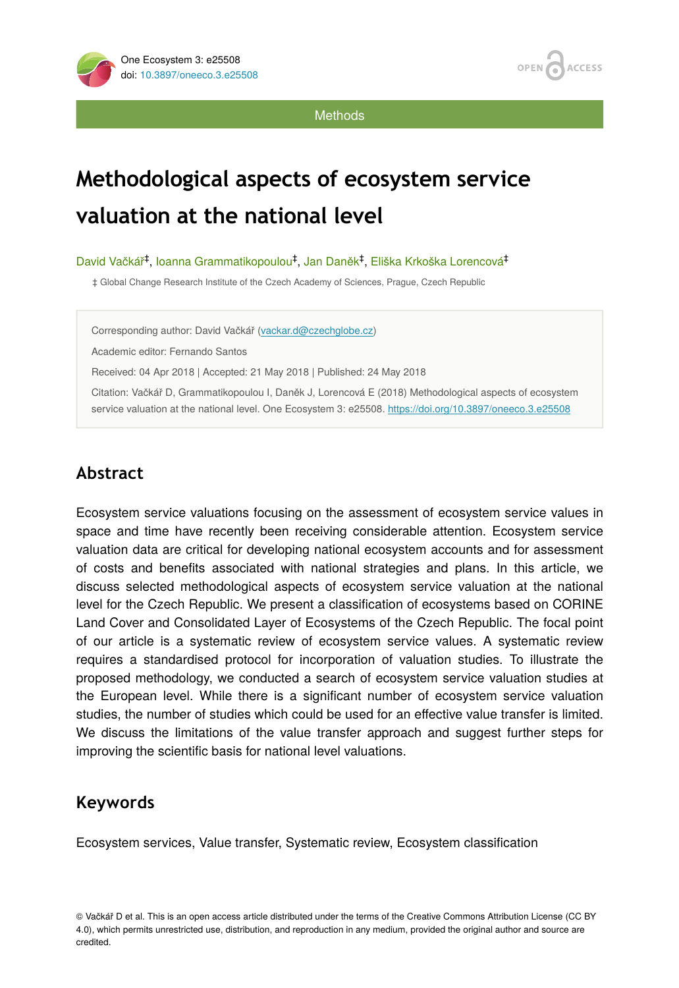

**Methods** 

# **Methodological aspects of ecosystem service valuation at the national level**

David Vačkář<sup>‡</sup>, Ioanna Grammatikopoulou<sup>‡</sup>, Jan Daněk<sup>‡</sup>, Eliška Krkoška Lorencová<sup>‡</sup>

‡ Global Change Research Institute of the Czech Academy of Sciences, Prague, Czech Republic

Corresponding author: David Vačkář ([vackar.d@czechglobe.cz\)](mailto:vackar.d@czechglobe.cz)

Academic editor: Fernando Santos

Received: 04 Apr 2018 | Accepted: 21 May 2018 | Published: 24 May 2018

Citation: Vačkář D, Grammatikopoulou I, Daněk J, Lorencová E (2018) Methodological aspects of ecosystem service valuation at the national level. One Ecosystem 3: e25508.<https://doi.org/10.3897/oneeco.3.e25508>

# **Abstract**

Ecosystem service valuations focusing on the assessment of ecosystem service values in space and time have recently been receiving considerable attention. Ecosystem service valuation data are critical for developing national ecosystem accounts and for assessment of costs and benefits associated with national strategies and plans. In this article, we discuss selected methodological aspects of ecosystem service valuation at the national level for the Czech Republic. We present a classification of ecosystems based on CORINE Land Cover and Consolidated Layer of Ecosystems of the Czech Republic. The focal point of our article is a systematic review of ecosystem service values. A systematic review requires a standardised protocol for incorporation of valuation studies. To illustrate the proposed methodology, we conducted a search of ecosystem service valuation studies at the European level. While there is a significant number of ecosystem service valuation studies, the number of studies which could be used for an effective value transfer is limited. We discuss the limitations of the value transfer approach and suggest further steps for improving the scientific basis for national level valuations.

# **Keywords**

Ecosystem services, Value transfer, Systematic review, Ecosystem classification

© Vačkář D et al. This is an open access article distributed under the terms of the Creative Commons Attribution License (CC BY 4.0), which permits unrestricted use, distribution, and reproduction in any medium, provided the original author and source are credited.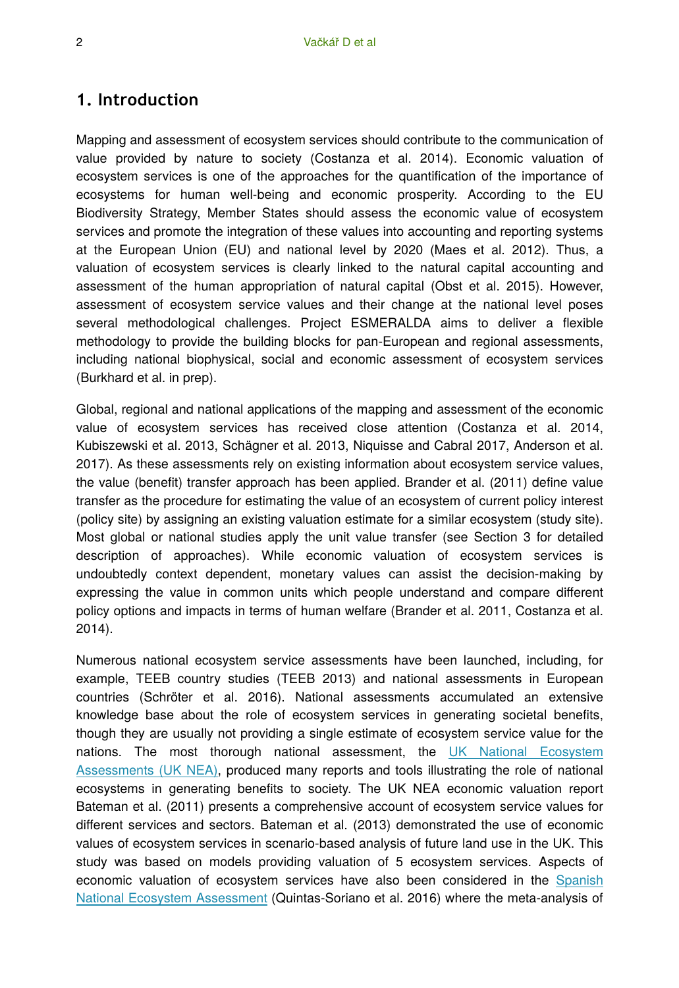### **1. Introduction**

Mapping and assessment of ecosystem services should contribute to the communication of value provided by nature to society (Costanza et al. 2014). Economic valuation of ecosystem services is one of the approaches for the quantification of the importance of ecosystems for human well-being and economic prosperity. According to the EU Biodiversity Strategy, Member States should assess the economic value of ecosystem services and promote the integration of these values into accounting and reporting systems at the European Union (EU) and national level by 2020 (Maes et al. 2012). Thus, a valuation of ecosystem services is clearly linked to the natural capital accounting and assessment of the human appropriation of natural capital (Obst et al. 2015). However, assessment of ecosystem service values and their change at the national level poses several methodological challenges. Project ESMERALDA aims to deliver a flexible methodology to provide the building blocks for pan-European and regional assessments, including national biophysical, social and economic assessment of ecosystem services (Burkhard et al. in prep).

Global, regional and national applications of the mapping and assessment of the economic value of ecosystem services has received close attention (Costanza et al. 2014, Kubiszewski et al. 2013, Schägner et al. 2013, Niquisse and Cabral 2017, Anderson et al. 2017). As these assessments rely on existing information about ecosystem service values, the value (benefit) transfer approach has been applied. Brander et al. (2011) define value transfer as the procedure for estimating the value of an ecosystem of current policy interest (policy site) by assigning an existing valuation estimate for a similar ecosystem (study site). Most global or national studies apply the unit value transfer (see Section 3 for detailed description of approaches). While economic valuation of ecosystem services is undoubtedly context dependent, monetary values can assist the decision-making by expressing the value in common units which people understand and compare different policy options and impacts in terms of human welfare (Brander et al. 2011, Costanza et al. 2014).

Numerous national ecosystem service assessments have been launched, including, for example, TEEB country studies (TEEB 2013) and national assessments in European countries (Schröter et al. 2016). National assessments accumulated an extensive knowledge base about the role of ecosystem services in generating societal benefits, though they are usually not providing a single estimate of ecosystem service value for the nations. The most thorough national assessment, the [UK National Ecosystem](http://uknea.unep-wcmc.org/) [Assessments \(UK NEA\),](http://uknea.unep-wcmc.org/) produced many reports and tools illustrating the role of national ecosystems in generating benefits to society. The UK NEA economic valuation report Bateman et al. (2011) presents a comprehensive account of ecosystem service values for different services and sectors. Bateman et al. (2013) demonstrated the use of economic values of ecosystem services in scenario-based analysis of future land use in the UK. This study was based on models providing valuation of 5 ecosystem services. Aspects of economic valuation of ecosystem services have also been considered in the [Spanish](http://www.ecomilenio.es/) [National Ecosystem Assessment](http://www.ecomilenio.es/) (Quintas-Soriano et al. 2016) where the meta-analysis of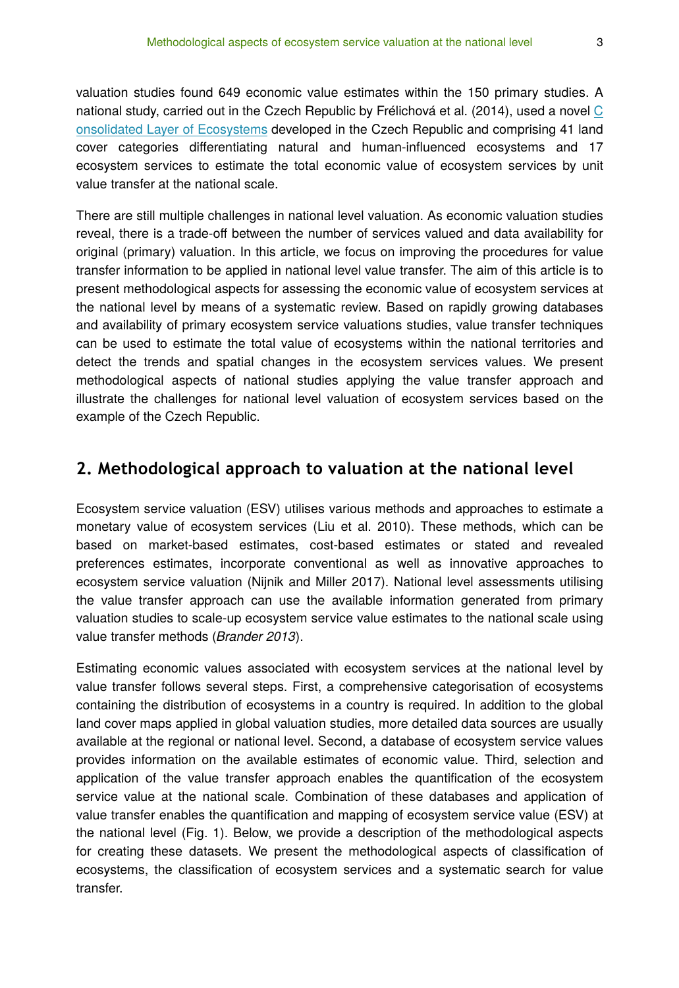valuation studies found 649 economic value estimates within the 150 primary studies. A national study, carried out in the Czech Republic by Frélichová et al. (2014), used a novel [C](http://www.ecosystemservices.cz) [onsolidated Layer of Ecosystems](http://www.ecosystemservices.cz) developed in the Czech Republic and comprising 41 land cover categories differentiating natural and human-influenced ecosystems and 17 ecosystem services to estimate the total economic value of ecosystem services by unit value transfer at the national scale.

There are still multiple challenges in national level valuation. As economic valuation studies reveal, there is a trade-off between the number of services valued and data availability for original (primary) valuation. In this article, we focus on improving the procedures for value transfer information to be applied in national level value transfer. The aim of this article is to present methodological aspects for assessing the economic value of ecosystem services at the national level by means of a systematic review. Based on rapidly growing databases and availability of primary ecosystem service valuations studies, value transfer techniques can be used to estimate the total value of ecosystems within the national territories and detect the trends and spatial changes in the ecosystem services values. We present methodological aspects of national studies applying the value transfer approach and illustrate the challenges for national level valuation of ecosystem services based on the example of the Czech Republic.

### **2. Methodological approach to valuation at the national level**

Ecosystem service valuation (ESV) utilises various methods and approaches to estimate a monetary value of ecosystem services (Liu et al. 2010). These methods, which can be based on market-based estimates, cost-based estimates or stated and revealed preferences estimates, incorporate conventional as well as innovative approaches to ecosystem service valuation (Nijnik and Miller 2017). National level assessments utilising the value transfer approach can use the available information generated from primary valuation studies to scale-up ecosystem service value estimates to the national scale using value transfer methods (*Brander 2013*).

Estimating economic values associated with ecosystem services at the national level by value transfer follows several steps. First, a comprehensive categorisation of ecosystems containing the distribution of ecosystems in a country is required. In addition to the global land cover maps applied in global valuation studies, more detailed data sources are usually available at the regional or national level. Second, a database of ecosystem service values provides information on the available estimates of economic value. Third, selection and application of the value transfer approach enables the quantification of the ecosystem service value at the national scale. Combination of these databases and application of value transfer enables the quantification and mapping of ecosystem service value (ESV) at the national level (Fig. 1). Below, we provide a description of the methodological aspects for creating these datasets. We present the methodological aspects of classification of ecosystems, the classification of ecosystem services and a systematic search for value transfer.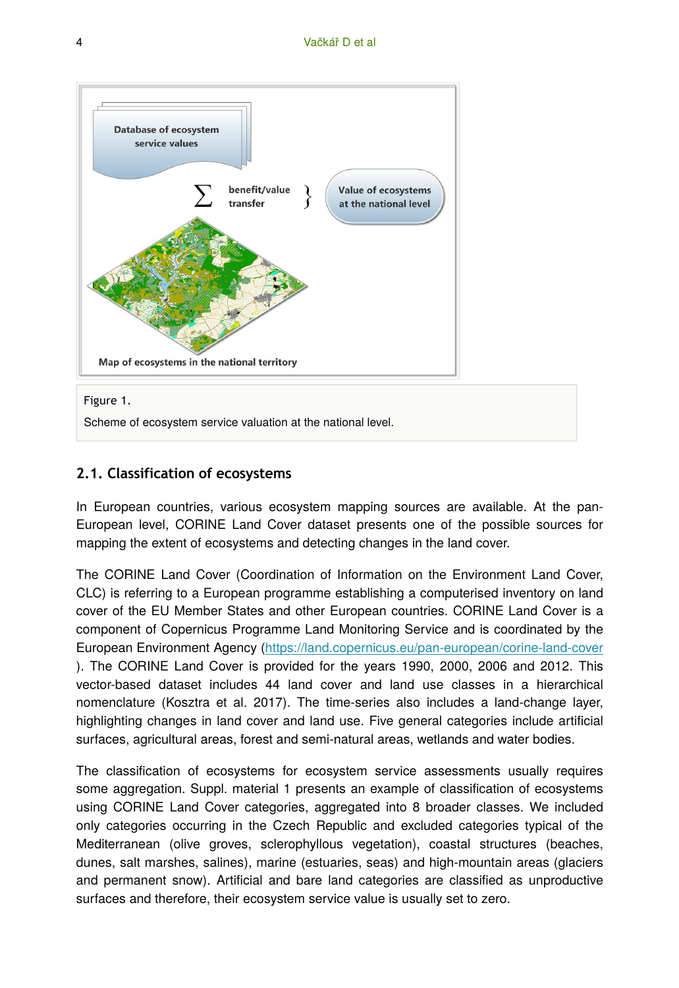

Scheme of ecosystem service valuation at the national level.

### **2.1. Classification of ecosystems**

In European countries, various ecosystem mapping sources are available. At the pan-European level, CORINE Land Cover dataset presents one of the possible sources for mapping the extent of ecosystems and detecting changes in the land cover.

The CORINE Land Cover (Coordination of Information on the Environment Land Cover, CLC) is referring to a European programme establishing a computerised inventory on land cover of the EU Member States and other European countries. CORINE Land Cover is a component of Copernicus Programme Land Monitoring Service and is coordinated by the European Environment Agency (<https://land.copernicus.eu/pan-european/corine-land-cover> ). The CORINE Land Cover is provided for the years 1990, 2000, 2006 and 2012. This vector-based dataset includes 44 land cover and land use classes in a hierarchical nomenclature (Kosztra et al. 2017). The time-series also includes a land-change layer, highlighting changes in land cover and land use. Five general categories include artificial surfaces, agricultural areas, forest and semi-natural areas, wetlands and water bodies.

The classification of ecosystems for ecosystem service assessments usually requires some aggregation. Suppl. material 1 presents an example of classification of ecosystems using CORINE Land Cover categories, aggregated into 8 broader classes. We included only categories occurring in the Czech Republic and excluded categories typical of the Mediterranean (olive groves, sclerophyllous vegetation), coastal structures (beaches, dunes, salt marshes, salines), marine (estuaries, seas) and high-mountain areas (glaciers and permanent snow). Artificial and bare land categories are classified as unproductive surfaces and therefore, their ecosystem service value is usually set to zero.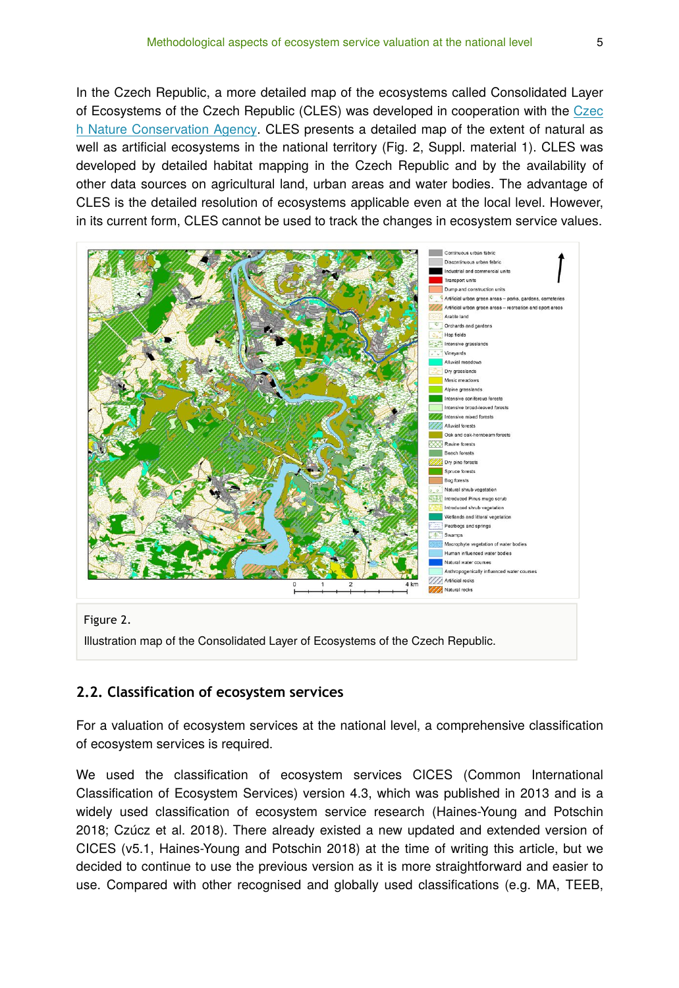In the Czech Republic, a more detailed map of the ecosystems called Consolidated Layer of Ecosystems of the Czech Republic (CLES) was developed in cooperation with the [Czec](http://www.ochranaprirody.cz/) [h Nature Conservation Agency.](http://www.ochranaprirody.cz/) CLES presents a detailed map of the extent of natural as well as artificial ecosystems in the national territory (Fig. 2, Suppl. material 1). CLES was developed by detailed habitat mapping in the Czech Republic and by the availability of other data sources on agricultural land, urban areas and water bodies. The advantage of CLES is the detailed resolution of ecosystems applicable even at the local level. However, in its current form, CLES cannot be used to track the changes in ecosystem service values.



Illustration map of the Consolidated Layer of Ecosystems of the Czech Republic.

### **2.2. Classification of ecosystem services**

For a valuation of ecosystem services at the national level, a comprehensive classification of ecosystem services is required.

We used the classification of ecosystem services CICES (Common International Classification of Ecosystem Services) version 4.3, which was published in 2013 and is a widely used classification of ecosystem service research (Haines-Young and Potschin 2018; Czúcz et al. 2018). There already existed a new updated and extended version of CICES (v5.1, Haines-Young and Potschin 2018) at the time of writing this article, but we decided to continue to use the previous version as it is more straightforward and easier to use. Compared with other recognised and globally used classifications (e.g. MA, TEEB,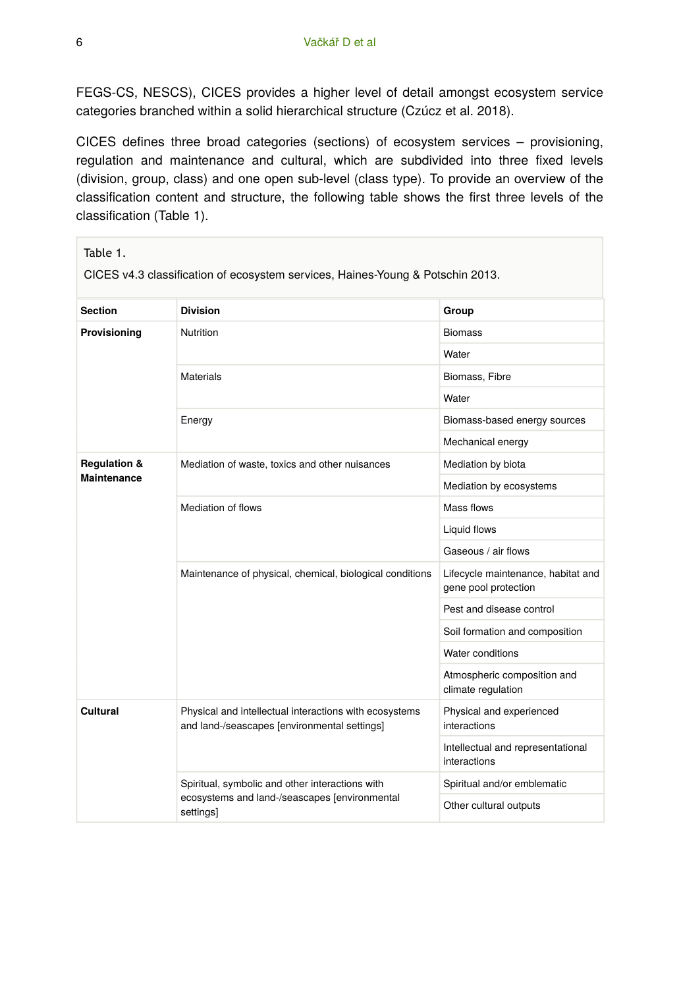FEGS-CS, NESCS), CICES provides a higher level of detail amongst ecosystem service categories branched within a solid hierarchical structure (Czúcz et al. 2018).

CICES defines three broad categories (sections) of ecosystem services – provisioning, regulation and maintenance and cultural, which are subdivided into three fixed levels (division, group, class) and one open sub-level (class type). To provide an overview of the classification content and structure, the following table shows the first three levels of the classification (Table 1).

| Table 1.<br>CICES v4.3 classification of ecosystem services, Haines-Young & Potschin 2013. |                                                                                                        |                                                            |  |  |  |
|--------------------------------------------------------------------------------------------|--------------------------------------------------------------------------------------------------------|------------------------------------------------------------|--|--|--|
| <b>Section</b>                                                                             | <b>Division</b>                                                                                        | Group                                                      |  |  |  |
| Provisioning                                                                               | <b>Nutrition</b>                                                                                       | <b>Biomass</b>                                             |  |  |  |
|                                                                                            |                                                                                                        | Water                                                      |  |  |  |
|                                                                                            | <b>Materials</b>                                                                                       | Biomass, Fibre                                             |  |  |  |
|                                                                                            |                                                                                                        | Water                                                      |  |  |  |
|                                                                                            | Energy                                                                                                 | Biomass-based energy sources                               |  |  |  |
|                                                                                            |                                                                                                        | Mechanical energy                                          |  |  |  |
| <b>Regulation &amp;</b><br><b>Maintenance</b>                                              | Mediation of waste, toxics and other nuisances                                                         | Mediation by biota                                         |  |  |  |
|                                                                                            |                                                                                                        | Mediation by ecosystems                                    |  |  |  |
|                                                                                            | Mediation of flows                                                                                     | Mass flows                                                 |  |  |  |
|                                                                                            |                                                                                                        | Liquid flows                                               |  |  |  |
|                                                                                            |                                                                                                        | Gaseous / air flows                                        |  |  |  |
|                                                                                            | Maintenance of physical, chemical, biological conditions                                               | Lifecycle maintenance, habitat and<br>gene pool protection |  |  |  |
|                                                                                            |                                                                                                        | Pest and disease control                                   |  |  |  |
|                                                                                            |                                                                                                        | Soil formation and composition                             |  |  |  |
|                                                                                            |                                                                                                        | Water conditions                                           |  |  |  |
|                                                                                            |                                                                                                        | Atmospheric composition and<br>climate regulation          |  |  |  |
| Cultural                                                                                   | Physical and intellectual interactions with ecosystems<br>and land-/seascapes [environmental settings] | Physical and experienced<br>interactions                   |  |  |  |
|                                                                                            |                                                                                                        | Intellectual and representational<br>interactions          |  |  |  |
|                                                                                            | Spiritual, symbolic and other interactions with                                                        | Spiritual and/or emblematic                                |  |  |  |
|                                                                                            | ecosystems and land-/seascapes [environmental<br>settings]                                             | Other cultural outputs                                     |  |  |  |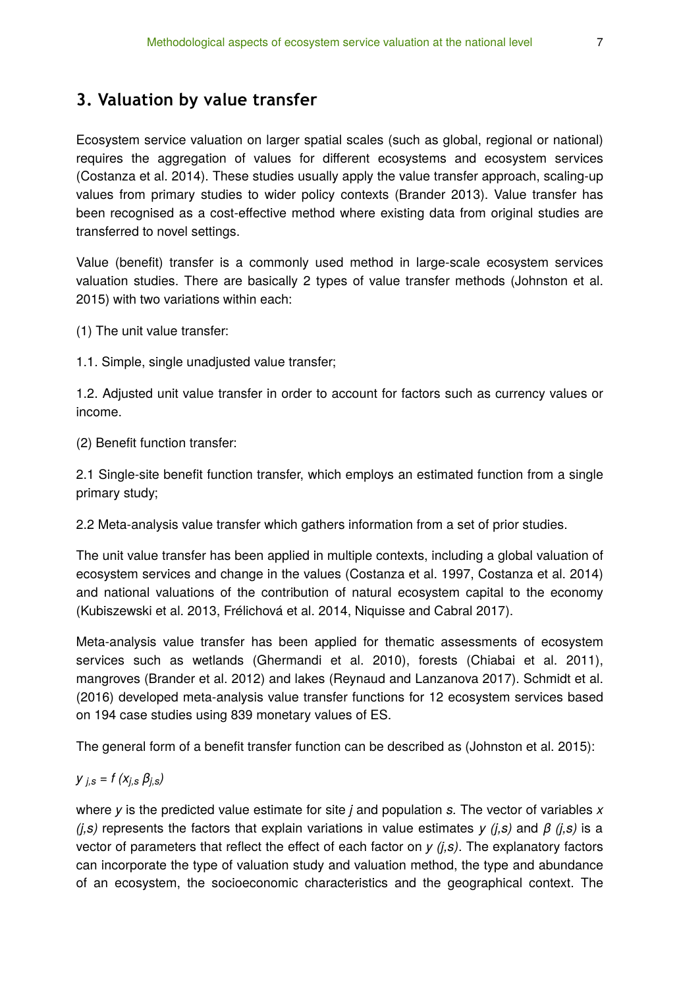## **3. Valuation by value transfer**

Ecosystem service valuation on larger spatial scales (such as global, regional or national) requires the aggregation of values for different ecosystems and ecosystem services (Costanza et al. 2014). These studies usually apply the value transfer approach, scaling-up values from primary studies to wider policy contexts (Brander 2013). Value transfer has been recognised as a cost-effective method where existing data from original studies are transferred to novel settings.

Value (benefit) transfer is a commonly used method in large-scale ecosystem services valuation studies. There are basically 2 types of value transfer methods (Johnston et al. 2015) with two variations within each:

(1) The unit value transfer:

1.1. Simple, single unadjusted value transfer;

1.2. Adjusted unit value transfer in order to account for factors such as currency values or income.

(2) Benefit function transfer:

2.1 Single-site benefit function transfer, which employs an estimated function from a single primary study;

2.2 Meta-analysis value transfer which gathers information from a set of prior studies.

The unit value transfer has been applied in multiple contexts, including a global valuation of ecosystem services and change in the values (Costanza et al. 1997, Costanza et al. 2014) and national valuations of the contribution of natural ecosystem capital to the economy (Kubiszewski et al. 2013, Frélichová et al. 2014, Niquisse and Cabral 2017).

Meta-analysis value transfer has been applied for thematic assessments of ecosystem services such as wetlands (Ghermandi et al. 2010), forests (Chiabai et al. 2011), mangroves (Brander et al. 2012) and lakes (Reynaud and Lanzanova 2017). Schmidt et al. (2016) developed meta-analysis value transfer functions for 12 ecosystem services based on 194 case studies using 839 monetary values of ES.

The general form of a benefit transfer function can be described as (Johnston et al. 2015):

$$
y_{j,s}=f\left(x_{j,s}\,\beta_{j,s}\right)
$$

where *y* is the predicted value estimate for site *j* and population *s.* The vector of variables *x (j,s)* represents the factors that explain variations in value estimates *y (j,s)* and *β (j,s)* is a vector of parameters that reflect the effect of each factor on *y (j,s)*. The explanatory factors can incorporate the type of valuation study and valuation method, the type and abundance of an ecosystem, the socioeconomic characteristics and the geographical context. The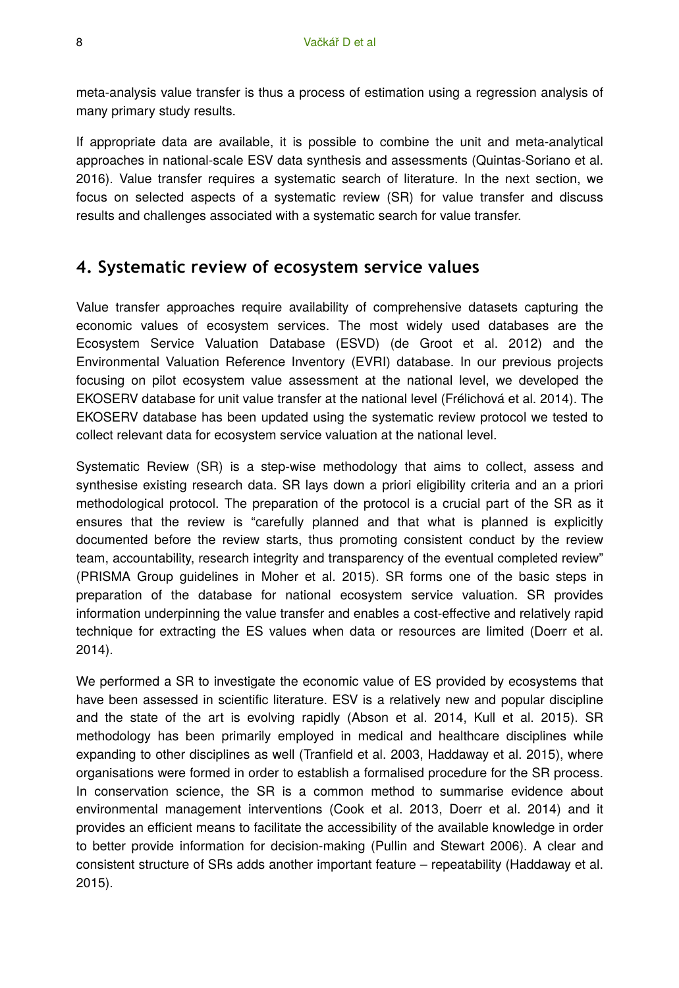meta-analysis value transfer is thus a process of estimation using a regression analysis of many primary study results.

If appropriate data are available, it is possible to combine the unit and meta-analytical approaches in national-scale ESV data synthesis and assessments (Quintas-Soriano et al. 2016). Value transfer requires a systematic search of literature. In the next section, we focus on selected aspects of a systematic review (SR) for value transfer and discuss results and challenges associated with a systematic search for value transfer.

### **4. Systematic review of ecosystem service values**

Value transfer approaches require availability of comprehensive datasets capturing the economic values of ecosystem services. The most widely used databases are the Ecosystem Service Valuation Database (ESVD) (de Groot et al. 2012) and the Environmental Valuation Reference Inventory (EVRI) database. In our previous projects focusing on pilot ecosystem value assessment at the national level, we developed the EKOSERV database for unit value transfer at the national level (Frélichová et al. 2014). The EKOSERV database has been updated using the systematic review protocol we tested to collect relevant data for ecosystem service valuation at the national level.

Systematic Review (SR) is a step-wise methodology that aims to collect, assess and synthesise existing research data. SR lays down a priori eligibility criteria and an a priori methodological protocol. The preparation of the protocol is a crucial part of the SR as it ensures that the review is "carefully planned and that what is planned is explicitly documented before the review starts, thus promoting consistent conduct by the review team, accountability, research integrity and transparency of the eventual completed review" (PRISMA Group guidelines in Moher et al. 2015). SR forms one of the basic steps in preparation of the database for national ecosystem service valuation. SR provides information underpinning the value transfer and enables a cost-effective and relatively rapid technique for extracting the ES values when data or resources are limited (Doerr et al. 2014).

We performed a SR to investigate the economic value of ES provided by ecosystems that have been assessed in scientific literature. ESV is a relatively new and popular discipline and the state of the art is evolving rapidly (Abson et al. 2014, Kull et al. 2015). SR methodology has been primarily employed in medical and healthcare disciplines while expanding to other disciplines as well (Tranfield et al. 2003, Haddaway et al. 2015), where organisations were formed in order to establish a formalised procedure for the SR process. In conservation science, the SR is a common method to summarise evidence about environmental management interventions (Cook et al. 2013, Doerr et al. 2014) and it provides an efficient means to facilitate the accessibility of the available knowledge in order to better provide information for decision-making (Pullin and Stewart 2006). A clear and consistent structure of SRs adds another important feature – repeatability (Haddaway et al. 2015).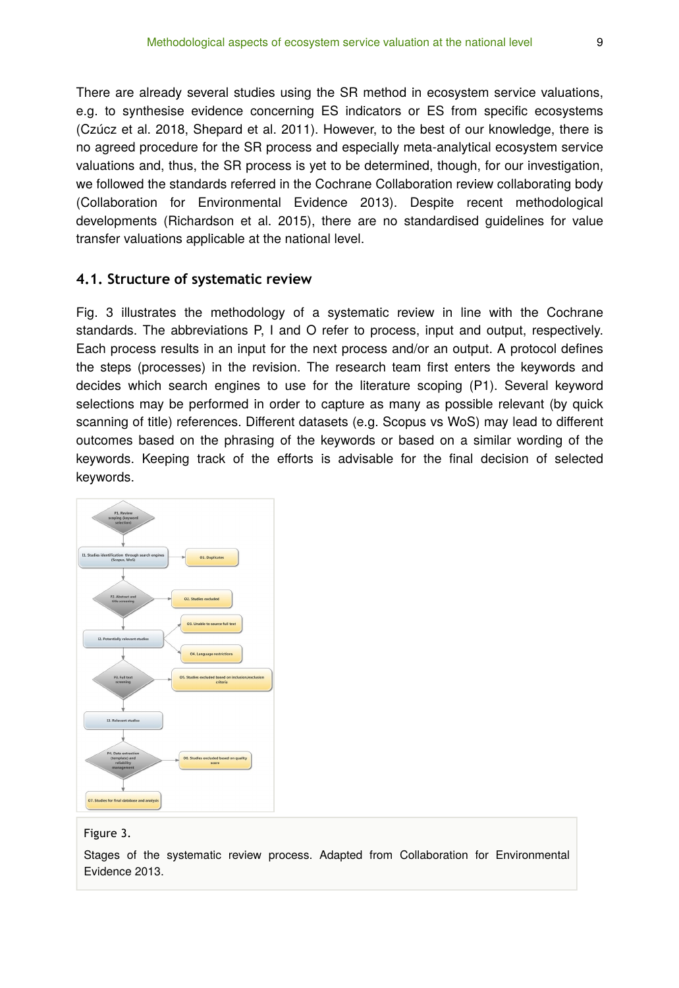There are already several studies using the SR method in ecosystem service valuations, e.g. to synthesise evidence concerning ES indicators or ES from specific ecosystems (Czúcz et al. 2018, Shepard et al. 2011). However, to the best of our knowledge, there is no agreed procedure for the SR process and especially meta-analytical ecosystem service valuations and, thus, the SR process is yet to be determined, though, for our investigation, we followed the standards referred in the Cochrane Collaboration review collaborating body (Collaboration for Environmental Evidence 2013). Despite recent methodological developments (Richardson et al. 2015), there are no standardised guidelines for value transfer valuations applicable at the national level.

### **4.1. Structure of systematic review**

Fig. 3 illustrates the methodology of a systematic review in line with the Cochrane standards. The abbreviations P, I and O refer to process, input and output, respectively. Each process results in an input for the next process and/or an output. A protocol defines the steps (processes) in the revision. The research team first enters the keywords and decides which search engines to use for the literature scoping (P1). Several keyword selections may be performed in order to capture as many as possible relevant (by quick scanning of title) references. Different datasets (e.g. Scopus vs WoS) may lead to different outcomes based on the phrasing of the keywords or based on a similar wording of the keywords. Keeping track of the efforts is advisable for the final decision of selected keywords.



#### Figure 3.

Stages of the systematic review process. Adapted from Collaboration for Environmental Evidence 2013.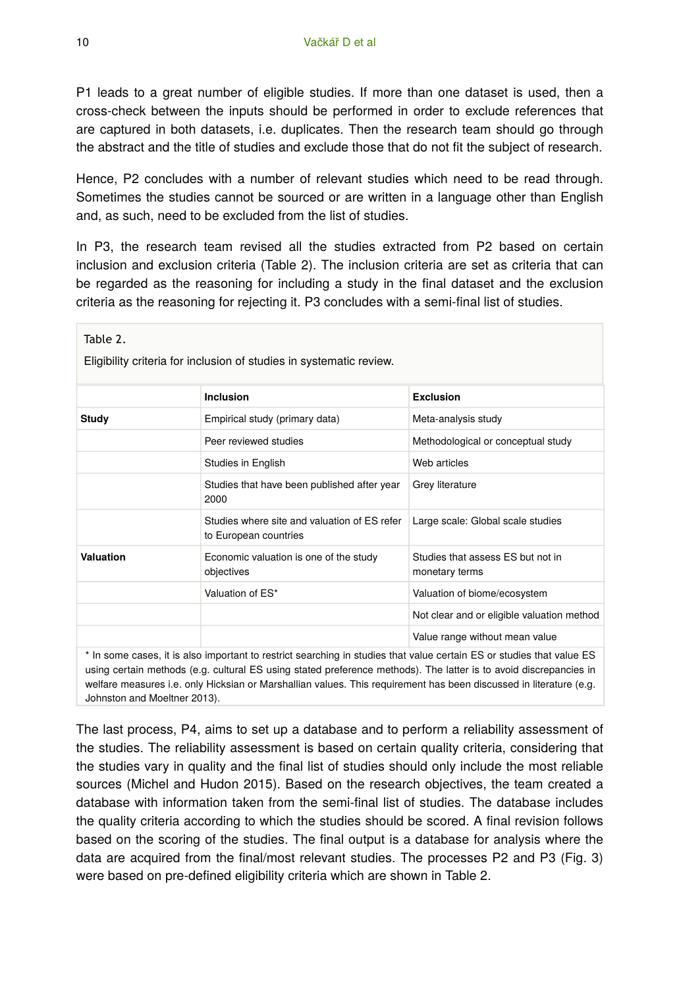P1 leads to a great number of eligible studies. If more than one dataset is used, then a cross-check between the inputs should be performed in order to exclude references that are captured in both datasets, i.e. duplicates. Then the research team should go through the abstract and the title of studies and exclude those that do not fit the subject of research.

Hence, P2 concludes with a number of relevant studies which need to be read through. Sometimes the studies cannot be sourced or are written in a language other than English and, as such, need to be excluded from the list of studies.

In P3, the research team revised all the studies extracted from P2 based on certain inclusion and exclusion criteria (Table 2). The inclusion criteria are set as criteria that can be regarded as the reasoning for including a study in the final dataset and the exclusion criteria as the reasoning for rejecting it. P3 concludes with a semi-final list of studies.

| Table 2.<br>Eligibility criteria for inclusion of studies in systematic review.                                                                                                                                                             |                                                                       |                                                     |  |
|---------------------------------------------------------------------------------------------------------------------------------------------------------------------------------------------------------------------------------------------|-----------------------------------------------------------------------|-----------------------------------------------------|--|
|                                                                                                                                                                                                                                             | Inclusion                                                             | Exclusion                                           |  |
| Study                                                                                                                                                                                                                                       | Empirical study (primary data)                                        | Meta-analysis study                                 |  |
|                                                                                                                                                                                                                                             | Peer reviewed studies                                                 | Methodological or conceptual study                  |  |
|                                                                                                                                                                                                                                             | Studies in English                                                    | Web articles                                        |  |
|                                                                                                                                                                                                                                             | Studies that have been published after year<br>2000                   | Grey literature                                     |  |
|                                                                                                                                                                                                                                             | Studies where site and valuation of ES refer<br>to European countries | Large scale: Global scale studies                   |  |
| Valuation                                                                                                                                                                                                                                   | Economic valuation is one of the study<br>objectives                  | Studies that assess ES but not in<br>monetary terms |  |
|                                                                                                                                                                                                                                             | Valuation of ES*                                                      | Valuation of biome/ecosystem                        |  |
|                                                                                                                                                                                                                                             |                                                                       | Not clear and or eligible valuation method          |  |
|                                                                                                                                                                                                                                             |                                                                       | Value range without mean value                      |  |
| * In some cases, it is also important to restrict searching in studies that value certain ES or studies that value ES<br>uging cortain mathoda (a.g. outural E.C. uging atatod proference mathoda). The latter is to quaid discrepancies in |                                                                       |                                                     |  |

ing certain methods (e.g. cultural ES using stated preference methods). The latter is to avoid dis welfare measures i.e. only Hicksian or Marshallian values. This requirement has been discussed in literature (e.g. Johnston and Moeltner 2013).

The last process, P4, aims to set up a database and to perform a reliability assessment of the studies. The reliability assessment is based on certain quality criteria, considering that the studies vary in quality and the final list of studies should only include the most reliable sources (Michel and Hudon 2015). Based on the research objectives, the team created a database with information taken from the semi-final list of studies. The database includes the quality criteria according to which the studies should be scored. A final revision follows based on the scoring of the studies. The final output is a database for analysis where the data are acquired from the final/most relevant studies. The processes P2 and P3 (Fig. 3) were based on pre-defined eligibility criteria which are shown in Table 2.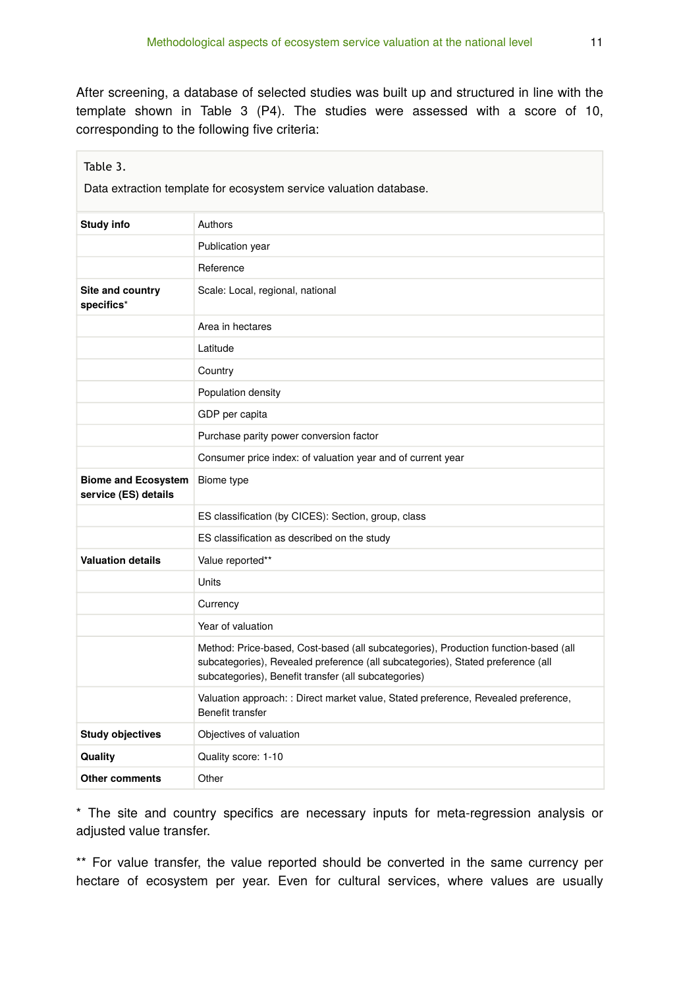After screening, a database of selected studies was built up and structured in line with the template shown in Table 3 (P4). The studies were assessed with a score of 10, corresponding to the following five criteria:

| Table 3.                                                           |                                                                                                                                                                                                                                |  |  |
|--------------------------------------------------------------------|--------------------------------------------------------------------------------------------------------------------------------------------------------------------------------------------------------------------------------|--|--|
| Data extraction template for ecosystem service valuation database. |                                                                                                                                                                                                                                |  |  |
| <b>Study info</b>                                                  | Authors                                                                                                                                                                                                                        |  |  |
|                                                                    | Publication year                                                                                                                                                                                                               |  |  |
|                                                                    | Reference                                                                                                                                                                                                                      |  |  |
| Site and country<br>specifics*                                     | Scale: Local, regional, national                                                                                                                                                                                               |  |  |
|                                                                    | Area in hectares                                                                                                                                                                                                               |  |  |
|                                                                    | Latitude                                                                                                                                                                                                                       |  |  |
|                                                                    | Country                                                                                                                                                                                                                        |  |  |
|                                                                    | Population density                                                                                                                                                                                                             |  |  |
|                                                                    | GDP per capita                                                                                                                                                                                                                 |  |  |
|                                                                    | Purchase parity power conversion factor                                                                                                                                                                                        |  |  |
|                                                                    | Consumer price index: of valuation year and of current year                                                                                                                                                                    |  |  |
| <b>Biome and Ecosystem</b><br>service (ES) details                 | Biome type                                                                                                                                                                                                                     |  |  |
|                                                                    | ES classification (by CICES): Section, group, class                                                                                                                                                                            |  |  |
|                                                                    | ES classification as described on the study                                                                                                                                                                                    |  |  |
| <b>Valuation details</b>                                           | Value reported**                                                                                                                                                                                                               |  |  |
|                                                                    | Units                                                                                                                                                                                                                          |  |  |
|                                                                    | Currency                                                                                                                                                                                                                       |  |  |
|                                                                    | Year of valuation                                                                                                                                                                                                              |  |  |
|                                                                    | Method: Price-based, Cost-based (all subcategories), Production function-based (all<br>subcategories), Revealed preference (all subcategories), Stated preference (all<br>subcategories), Benefit transfer (all subcategories) |  |  |
|                                                                    | Valuation approach: : Direct market value, Stated preference, Revealed preference,<br>Benefit transfer                                                                                                                         |  |  |
| <b>Study objectives</b>                                            | Objectives of valuation                                                                                                                                                                                                        |  |  |
| Quality                                                            | Quality score: 1-10                                                                                                                                                                                                            |  |  |
| <b>Other comments</b>                                              | Other                                                                                                                                                                                                                          |  |  |

\* The site and country specifics are necessary inputs for meta-regression analysis or adjusted value transfer.

\*\* For value transfer, the value reported should be converted in the same currency per hectare of ecosystem per year. Even for cultural services, where values are usually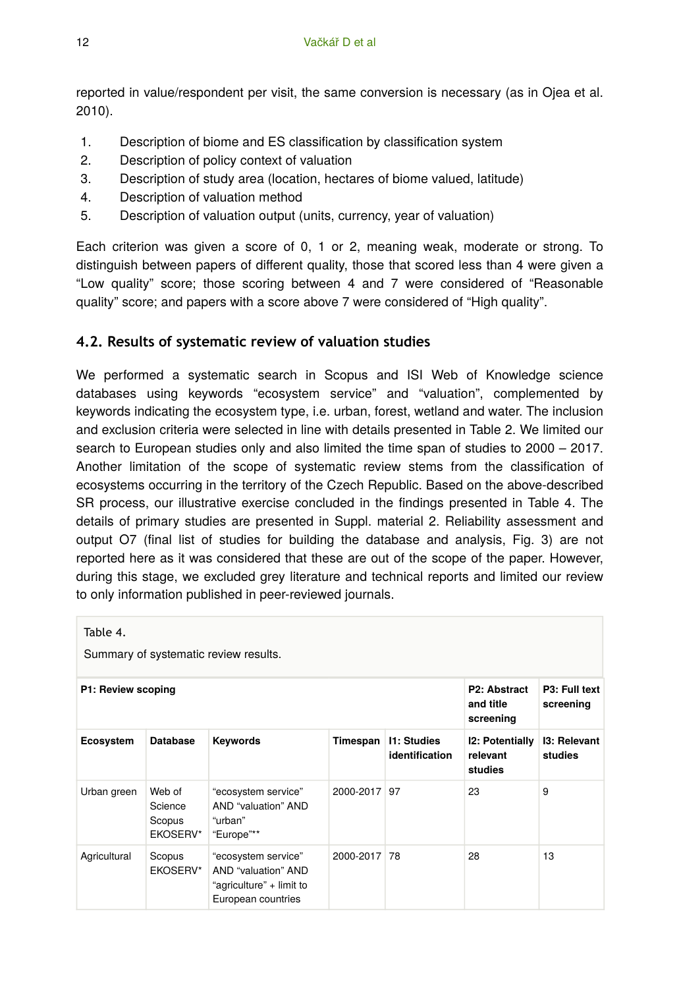reported in value/respondent per visit, the same conversion is necessary (as in Ojea et al. 2010).

- 1. Description of biome and ES classification by classification system
- 2. Description of policy context of valuation
- 3. Description of study area (location, hectares of biome valued, latitude)
- 4. Description of valuation method
- 5. Description of valuation output (units, currency, year of valuation)

Each criterion was given a score of 0, 1 or 2, meaning weak, moderate or strong. To distinguish between papers of different quality, those that scored less than 4 were given a "Low quality" score; those scoring between 4 and 7 were considered of "Reasonable quality" score; and papers with a score above 7 were considered of "High quality".

### **4.2. Results of systematic review of valuation studies**

We performed a systematic search in Scopus and ISI Web of Knowledge science databases using keywords "ecosystem service" and "valuation", complemented by keywords indicating the ecosystem type, i.e. urban, forest, wetland and water. The inclusion and exclusion criteria were selected in line with details presented in Table 2. We limited our search to European studies only and also limited the time span of studies to 2000 – 2017. Another limitation of the scope of systematic review stems from the classification of ecosystems occurring in the territory of the Czech Republic. Based on the above-described SR process, our illustrative exercise concluded in the findings presented in Table 4. The details of primary studies are presented in Suppl. material 2. Reliability assessment and output O7 (final list of studies for building the database and analysis, Fig. 3) are not reported here as it was considered that these are out of the scope of the paper. However, during this stage, we excluded grey literature and technical reports and limited our review to only information published in peer-reviewed journals.

| Table 4.<br>Summary of systematic review results. |                                         |                                                                                              |              |                                        |                                               |                                |
|---------------------------------------------------|-----------------------------------------|----------------------------------------------------------------------------------------------|--------------|----------------------------------------|-----------------------------------------------|--------------------------------|
| P1: Review scoping                                |                                         |                                                                                              |              | P2: Abstract<br>and title<br>screening | P3: Full text<br>screening                    |                                |
| Ecosystem                                         | <b>Database</b>                         | <b>Keywords</b>                                                                              | Timespan     | <b>11: Studies</b><br>identification   | <b>12: Potentially</b><br>relevant<br>studies | <b>13: Relevant</b><br>studies |
| Urban green                                       | Web of<br>Science<br>Scopus<br>EKOSERV* | "ecosystem service"<br>AND "valuation" AND<br>"urban"<br>"Europe"**                          | 2000-2017 97 |                                        | 23                                            | 9                              |
| Agricultural                                      | Scopus<br>EKOSERV*                      | "ecosystem service"<br>AND "valuation" AND<br>"agriculture" + limit to<br>European countries | 2000-2017 78 |                                        | 28                                            | 13                             |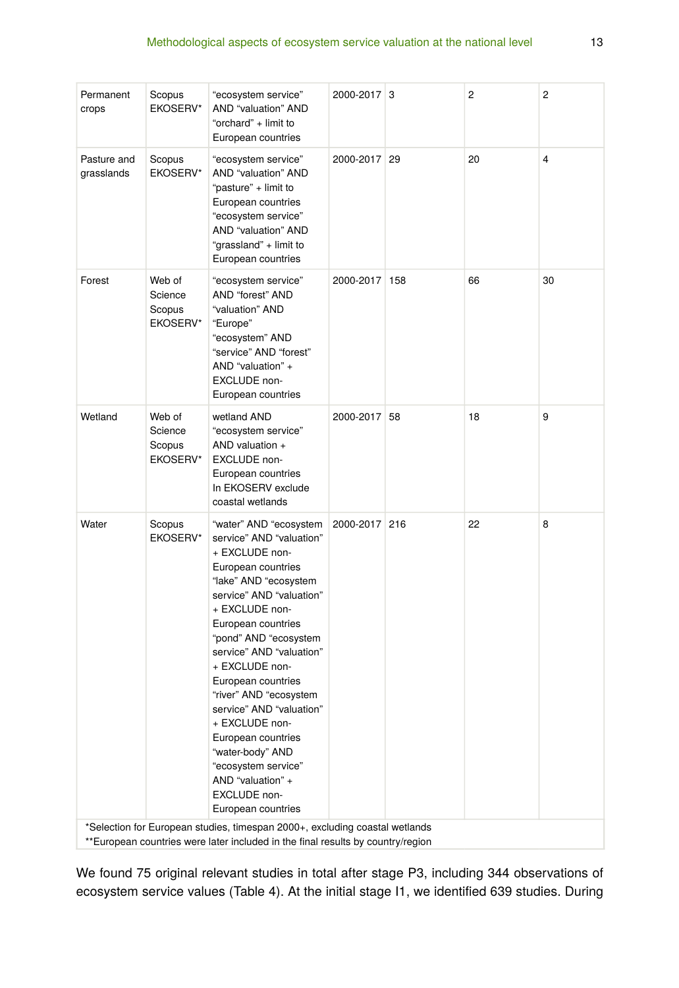| Permanent<br>crops                                                                                                                                              | Scopus<br><b>EKOSERV*</b>                      | "ecosystem service"<br>AND "valuation" AND<br>"orchard" + limit to<br>European countries                                                                                                                                                                                                                                                                                                                                                                                                 | 2000-2017 3   |  | 2  | 2  |
|-----------------------------------------------------------------------------------------------------------------------------------------------------------------|------------------------------------------------|------------------------------------------------------------------------------------------------------------------------------------------------------------------------------------------------------------------------------------------------------------------------------------------------------------------------------------------------------------------------------------------------------------------------------------------------------------------------------------------|---------------|--|----|----|
| Pasture and<br>grasslands                                                                                                                                       | Scopus<br><b>EKOSERV*</b>                      | "ecosystem service"<br>AND "valuation" AND<br>"pasture" + limit to<br>European countries<br>"ecosystem service"<br>AND "valuation" AND<br>"grassland" + limit to<br>European countries                                                                                                                                                                                                                                                                                                   | 2000-2017 29  |  | 20 | 4  |
| Forest                                                                                                                                                          | Web of<br>Science<br>Scopus<br>EKOSERV*        | "ecosystem service"<br>AND "forest" AND<br>"valuation" AND<br>"Europe"<br>"ecosystem" AND<br>"service" AND "forest"<br>AND "valuation" +<br><b>EXCLUDE</b> non-<br>European countries                                                                                                                                                                                                                                                                                                    | 2000-2017 158 |  | 66 | 30 |
| Wetland                                                                                                                                                         | Web of<br>Science<br>Scopus<br><b>EKOSERV*</b> | wetland AND<br>"ecosystem service"<br>AND valuation +<br><b>EXCLUDE</b> non-<br>European countries<br>In EKOSERV exclude<br>coastal wetlands                                                                                                                                                                                                                                                                                                                                             | 2000-2017 58  |  | 18 | 9  |
| Water                                                                                                                                                           | Scopus<br><b>EKOSERV*</b>                      | "water" AND "ecosystem<br>service" AND "valuation"<br>+ EXCLUDE non-<br>European countries<br>"lake" AND "ecosystem<br>service" AND "valuation"<br>+ EXCLUDE non-<br>European countries<br>"pond" AND "ecosystem<br>service" AND "valuation"<br>+ EXCLUDE non-<br>European countries<br>"river" AND "ecosystem<br>service" AND "valuation"<br>+ EXCLUDE non-<br>European countries<br>"water-body" AND<br>"ecosystem service"<br>AND "valuation" +<br>EXCLUDE non-<br>European countries | 2000-2017 216 |  | 22 | 8  |
| *Selection for European studies, timespan 2000+, excluding coastal wetlands<br>** European countries were later included in the final results by country/region |                                                |                                                                                                                                                                                                                                                                                                                                                                                                                                                                                          |               |  |    |    |

We found 75 original relevant studies in total after stage P3, including 344 observations of ecosystem service values (Table 4). At the initial stage I1, we identified 639 studies. During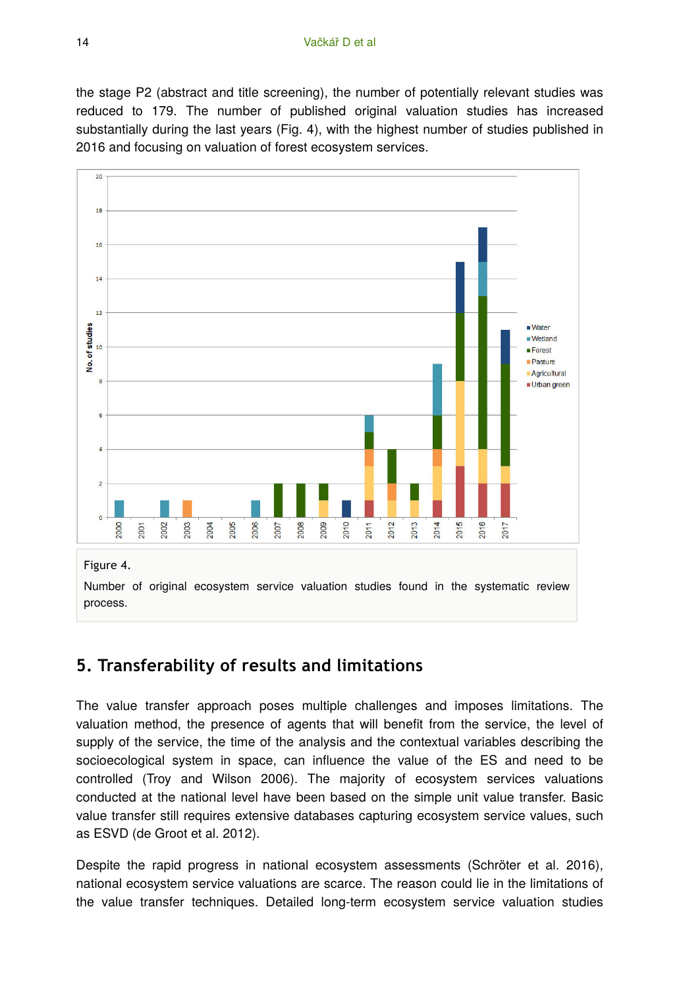the stage P2 (abstract and title screening), the number of potentially relevant studies was reduced to 179. The number of published original valuation studies has increased substantially during the last years (Fig. 4), with the highest number of studies published in 2016 and focusing on valuation of forest ecosystem services.



# **5. Transferability of results and limitations**

The value transfer approach poses multiple challenges and imposes limitations. The valuation method, the presence of agents that will benefit from the service, the level of supply of the service, the time of the analysis and the contextual variables describing the socioecological system in space, can influence the value of the ES and need to be controlled (Troy and Wilson 2006). The majority of ecosystem services valuations conducted at the national level have been based on the simple unit value transfer. Basic value transfer still requires extensive databases capturing ecosystem service values, such as ESVD (de Groot et al. 2012).

Despite the rapid progress in national ecosystem assessments (Schröter et al. 2016), national ecosystem service valuations are scarce. The reason could lie in the limitations of the value transfer techniques. Detailed long-term ecosystem service valuation studies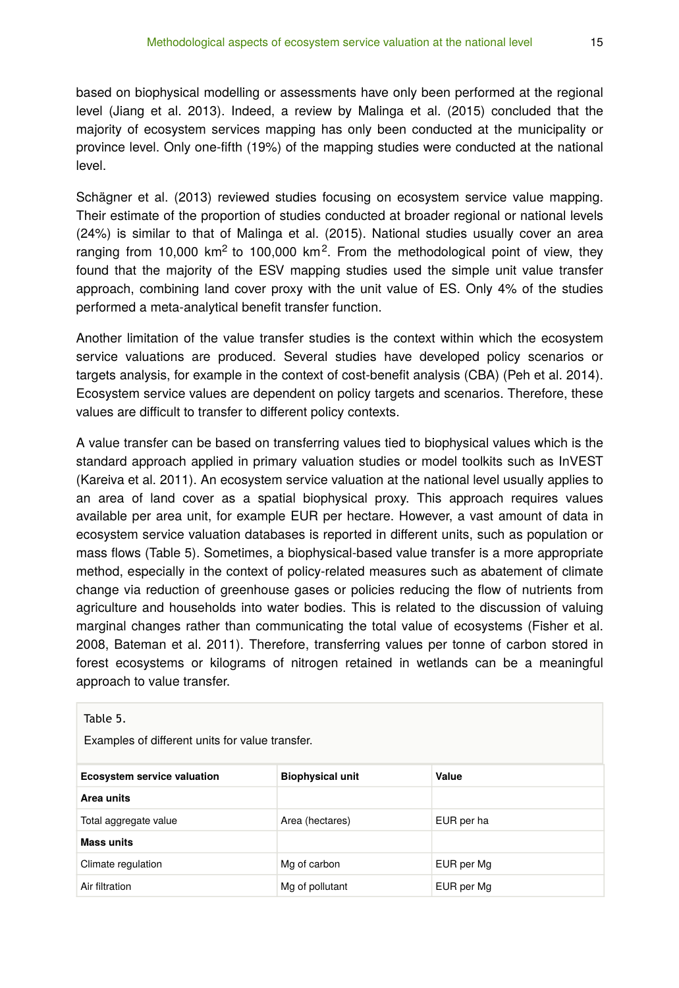based on biophysical modelling or assessments have only been performed at the regional level (Jiang et al. 2013). Indeed, a review by Malinga et al. (2015) concluded that the majority of ecosystem services mapping has only been conducted at the municipality or province level. Only one-fifth (19%) of the mapping studies were conducted at the national level.

Schägner et al. (2013) reviewed studies focusing on ecosystem service value mapping. Their estimate of the proportion of studies conducted at broader regional or national levels (24%) is similar to that of Malinga et al. (2015). National studies usually cover an area ranging from 10,000 km<sup>2</sup> to 100,000 km<sup>2</sup>. From the methodological point of view, they found that the majority of the ESV mapping studies used the simple unit value transfer approach, combining land cover proxy with the unit value of ES. Only 4% of the studies performed a meta-analytical benefit transfer function.

Another limitation of the value transfer studies is the context within which the ecosystem service valuations are produced. Several studies have developed policy scenarios or targets analysis, for example in the context of cost-benefit analysis (CBA) (Peh et al. 2014). Ecosystem service values are dependent on policy targets and scenarios. Therefore, these values are difficult to transfer to different policy contexts.

A value transfer can be based on transferring values tied to biophysical values which is the standard approach applied in primary valuation studies or model toolkits such as InVEST (Kareiva et al. 2011). An ecosystem service valuation at the national level usually applies to an area of land cover as a spatial biophysical proxy. This approach requires values available per area unit, for example EUR per hectare. However, a vast amount of data in ecosystem service valuation databases is reported in different units, such as population or mass flows (Table 5). Sometimes, a biophysical-based value transfer is a more appropriate method, especially in the context of policy-related measures such as abatement of climate change via reduction of greenhouse gases or policies reducing the flow of nutrients from agriculture and households into water bodies. This is related to the discussion of valuing marginal changes rather than communicating the total value of ecosystems (Fisher et al. 2008, Bateman et al. 2011). Therefore, transferring values per tonne of carbon stored in forest ecosystems or kilograms of nitrogen retained in wetlands can be a meaningful approach to value transfer.

Table 5.

Examples of different units for value transfer.

| <b>Ecosystem service valuation</b> | <b>Biophysical unit</b> | Value      |
|------------------------------------|-------------------------|------------|
| Area units                         |                         |            |
| Total aggregate value              | Area (hectares)         | EUR per ha |
| <b>Mass units</b>                  |                         |            |
| Climate regulation                 | Mg of carbon            | EUR per Mg |
| Air filtration                     | Mg of pollutant         | EUR per Mg |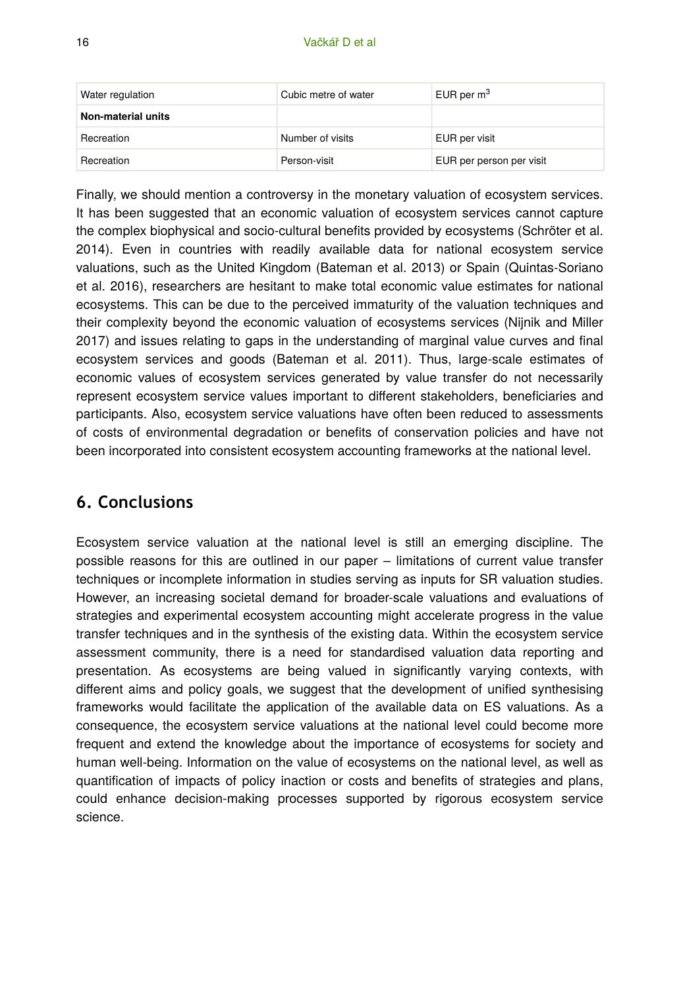| Water regulation   | Cubic metre of water | EUR per $m3$             |
|--------------------|----------------------|--------------------------|
| Non-material units |                      |                          |
| Recreation         | Number of visits     | EUR per visit            |
| Recreation         | Person-visit         | EUR per person per visit |

Finally, we should mention a controversy in the monetary valuation of ecosystem services. It has been suggested that an economic valuation of ecosystem services cannot capture the complex biophysical and socio-cultural benefits provided by ecosystems (Schröter et al. 2014). Even in countries with readily available data for national ecosystem service valuations, such as the United Kingdom (Bateman et al. 2013) or Spain (Quintas-Soriano et al. 2016), researchers are hesitant to make total economic value estimates for national ecosystems. This can be due to the perceived immaturity of the valuation techniques and their complexity beyond the economic valuation of ecosystems services (Nijnik and Miller 2017) and issues relating to gaps in the understanding of marginal value curves and final ecosystem services and goods (Bateman et al. 2011). Thus, large-scale estimates of economic values of ecosystem services generated by value transfer do not necessarily represent ecosystem service values important to different stakeholders, beneficiaries and participants. Also, ecosystem service valuations have often been reduced to assessments of costs of environmental degradation or benefits of conservation policies and have not been incorporated into consistent ecosystem accounting frameworks at the national level.

# **6. Conclusions**

Ecosystem service valuation at the national level is still an emerging discipline. The possible reasons for this are outlined in our paper – limitations of current value transfer techniques or incomplete information in studies serving as inputs for SR valuation studies. However, an increasing societal demand for broader-scale valuations and evaluations of strategies and experimental ecosystem accounting might accelerate progress in the value transfer techniques and in the synthesis of the existing data. Within the ecosystem service assessment community, there is a need for standardised valuation data reporting and presentation. As ecosystems are being valued in significantly varying contexts, with different aims and policy goals, we suggest that the development of unified synthesising frameworks would facilitate the application of the available data on ES valuations. As a consequence, the ecosystem service valuations at the national level could become more frequent and extend the knowledge about the importance of ecosystems for society and human well-being. Information on the value of ecosystems on the national level, as well as quantification of impacts of policy inaction or costs and benefits of strategies and plans, could enhance decision-making processes supported by rigorous ecosystem service science.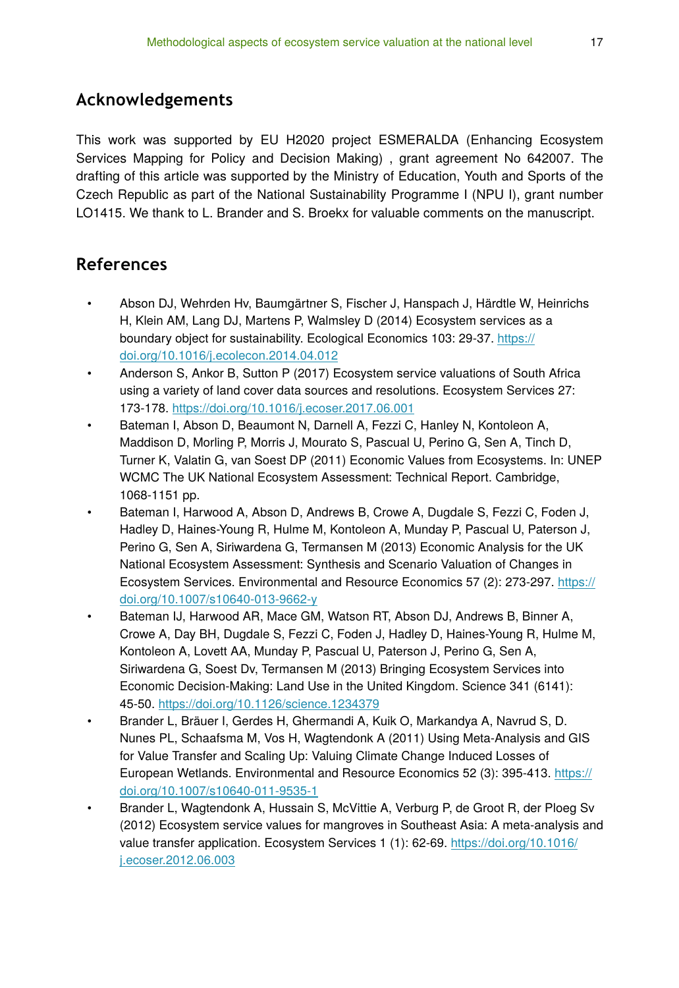# **Acknowledgements**

This work was supported by EU H2020 project ESMERALDA (Enhancing Ecosystem Services Mapping for Policy and Decision Making) , grant agreement No 642007. The drafting of this article was supported by the Ministry of Education, Youth and Sports of the Czech Republic as part of the National Sustainability Programme I (NPU I), grant number LO1415. We thank to L. Brander and S. Broekx for valuable comments on the manuscript.

### **References**

- Abson DJ, Wehrden Hv, Baumgärtner S, Fischer J, Hanspach J, Härdtle W, Heinrichs H, Klein AM, Lang DJ, Martens P, Walmsley D (2014) Ecosystem services as a boundary object for sustainability. Ecological Economics 103: 29‑37. [https://](https://doi.org/10.1016/j.ecolecon.2014.04.012) [doi.org/10.1016/j.ecolecon.2014.04.012](https://doi.org/10.1016/j.ecolecon.2014.04.012)
- Anderson S, Ankor B, Sutton P (2017) Ecosystem service valuations of South Africa using a variety of land cover data sources and resolutions. Ecosystem Services 27: 173‑178. <https://doi.org/10.1016/j.ecoser.2017.06.001>
- Bateman I, Abson D, Beaumont N, Darnell A, Fezzi C, Hanley N, Kontoleon A, Maddison D, Morling P, Morris J, Mourato S, Pascual U, Perino G, Sen A, Tinch D, Turner K, Valatin G, van Soest DP (2011) Economic Values from Ecosystems. In: UNEP WCMC The UK National Ecosystem Assessment: Technical Report. Cambridge, 1068-1151 pp.
- Bateman I, Harwood A, Abson D, Andrews B, Crowe A, Dugdale S, Fezzi C, Foden J, Hadley D, Haines-Young R, Hulme M, Kontoleon A, Munday P, Pascual U, Paterson J, Perino G, Sen A, Siriwardena G, Termansen M (2013) Economic Analysis for the UK National Ecosystem Assessment: Synthesis and Scenario Valuation of Changes in Ecosystem Services. Environmental and Resource Economics 57 (2): 273‑297. [https://](https://doi.org/10.1007/s10640-013-9662-y) [doi.org/10.1007/s10640-013-9662-y](https://doi.org/10.1007/s10640-013-9662-y)
- Bateman IJ, Harwood AR, Mace GM, Watson RT, Abson DJ, Andrews B, Binner A, Crowe A, Day BH, Dugdale S, Fezzi C, Foden J, Hadley D, Haines-Young R, Hulme M, Kontoleon A, Lovett AA, Munday P, Pascual U, Paterson J, Perino G, Sen A, Siriwardena G, Soest Dv, Termansen M (2013) Bringing Ecosystem Services into Economic Decision-Making: Land Use in the United Kingdom. Science 341 (6141): 45‑50.<https://doi.org/10.1126/science.1234379>
- Brander L, Bräuer I, Gerdes H, Ghermandi A, Kuik O, Markandya A, Navrud S, D. Nunes PL, Schaafsma M, Vos H, Wagtendonk A (2011) Using Meta-Analysis and GIS for Value Transfer and Scaling Up: Valuing Climate Change Induced Losses of European Wetlands. Environmental and Resource Economics 52 (3): 395-413. [https://](https://doi.org/10.1007/s10640-011-9535-1) [doi.org/10.1007/s10640-011-9535-1](https://doi.org/10.1007/s10640-011-9535-1)
- Brander L, Wagtendonk A, Hussain S, McVittie A, Verburg P, de Groot R, der Ploeg Sv (2012) Ecosystem service values for mangroves in Southeast Asia: A meta-analysis and value transfer application. Ecosystem Services 1 (1): 62-69. [https://doi.org/10.1016/](https://doi.org/10.1016/j.ecoser.2012.06.003) [j.ecoser.2012.06.003](https://doi.org/10.1016/j.ecoser.2012.06.003)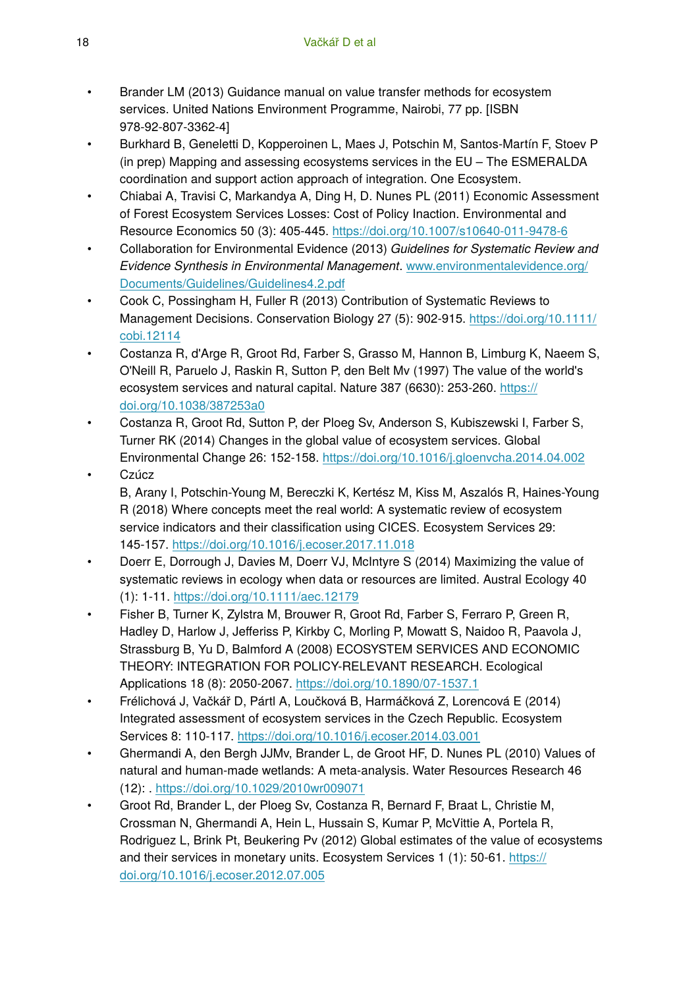- Brander LM (2013) Guidance manual on value transfer methods for ecosystem services. United Nations Environment Programme, Nairobi, 77 pp. [ISBN 978-92-807-3362-4]
- Burkhard B, Geneletti D, Kopperoinen L, Maes J, Potschin M, Santos-Martín F, Stoev P (in prep) Mapping and assessing ecosystems services in the EU – The ESMERALDA coordination and support action approach of integration. One Ecosystem.
- Chiabai A, Travisi C, Markandya A, Ding H, D. Nunes PL (2011) Economic Assessment of Forest Ecosystem Services Losses: Cost of Policy Inaction. Environmental and Resource Economics 50 (3): 405‑445. <https://doi.org/10.1007/s10640-011-9478-6>
- Collaboration for Environmental Evidence (2013) *Guidelines for Systematic Review and Evidence Synthesis in Environmental Management*. [www.environmentalevidence.org/](http://www.environmentalevidence.org/Documents/Guidelines/Guidelines4.2.pdf) [Documents/Guidelines/Guidelines4.2.pdf](http://www.environmentalevidence.org/Documents/Guidelines/Guidelines4.2.pdf)
- Cook C, Possingham H, Fuller R (2013) Contribution of Systematic Reviews to Management Decisions. Conservation Biology 27 (5): 902‑915. [https://doi.org/10.1111/](https://doi.org/10.1111/cobi.12114) [cobi.12114](https://doi.org/10.1111/cobi.12114)
- Costanza R, d'Arge R, Groot Rd, Farber S, Grasso M, Hannon B, Limburg K, Naeem S, O'Neill R, Paruelo J, Raskin R, Sutton P, den Belt Mv (1997) The value of the world's ecosystem services and natural capital. Nature 387 (6630): 253-260. [https://](https://doi.org/10.1038/387253a0) [doi.org/10.1038/387253a0](https://doi.org/10.1038/387253a0)
- Costanza R, Groot Rd, Sutton P, der Ploeg Sv, Anderson S, Kubiszewski I, Farber S, Turner RK (2014) Changes in the global value of ecosystem services. Global Environmental Change 26: 152‑158.<https://doi.org/10.1016/j.gloenvcha.2014.04.002>
- Czúcz B, Arany I, Potschin-Young M, Bereczki K, Kertész M, Kiss M, Aszalós R, Haines-Young R (2018) Where concepts meet the real world: A systematic review of ecosystem service indicators and their classification using CICES. Ecosystem Services 29: 145‑157. <https://doi.org/10.1016/j.ecoser.2017.11.018>
- Doerr E, Dorrough J, Davies M, Doerr VJ, McIntyre S (2014) Maximizing the value of systematic reviews in ecology when data or resources are limited. Austral Ecology 40 (1): 1‑11. <https://doi.org/10.1111/aec.12179>
- Fisher B, Turner K, Zylstra M, Brouwer R, Groot Rd, Farber S, Ferraro P, Green R, Hadley D, Harlow J, Jefferiss P, Kirkby C, Morling P, Mowatt S, Naidoo R, Paavola J, Strassburg B, Yu D, Balmford A (2008) ECOSYSTEM SERVICES AND ECONOMIC THEORY: INTEGRATION FOR POLICY-RELEVANT RESEARCH. Ecological Applications 18 (8): 2050‑2067. <https://doi.org/10.1890/07-1537.1>
- Frélichová J, Vačkář D, Pártl A, Loučková B, Harmáčková Z, Lorencová E (2014) Integrated assessment of ecosystem services in the Czech Republic. Ecosystem Services 8: 110‑117. <https://doi.org/10.1016/j.ecoser.2014.03.001>
- Ghermandi A, den Bergh JJMv, Brander L, de Groot HF, D. Nunes PL (2010) Values of natural and human-made wetlands: A meta-analysis. Water Resources Research 46 (12): .<https://doi.org/10.1029/2010wr009071>
- Groot Rd, Brander L, der Ploeg Sv, Costanza R, Bernard F, Braat L, Christie M, Crossman N, Ghermandi A, Hein L, Hussain S, Kumar P, McVittie A, Portela R, Rodriguez L, Brink Pt, Beukering Pv (2012) Global estimates of the value of ecosystems and their services in monetary units. Ecosystem Services 1 (1): 50‑61. [https://](https://doi.org/10.1016/j.ecoser.2012.07.005) [doi.org/10.1016/j.ecoser.2012.07.005](https://doi.org/10.1016/j.ecoser.2012.07.005)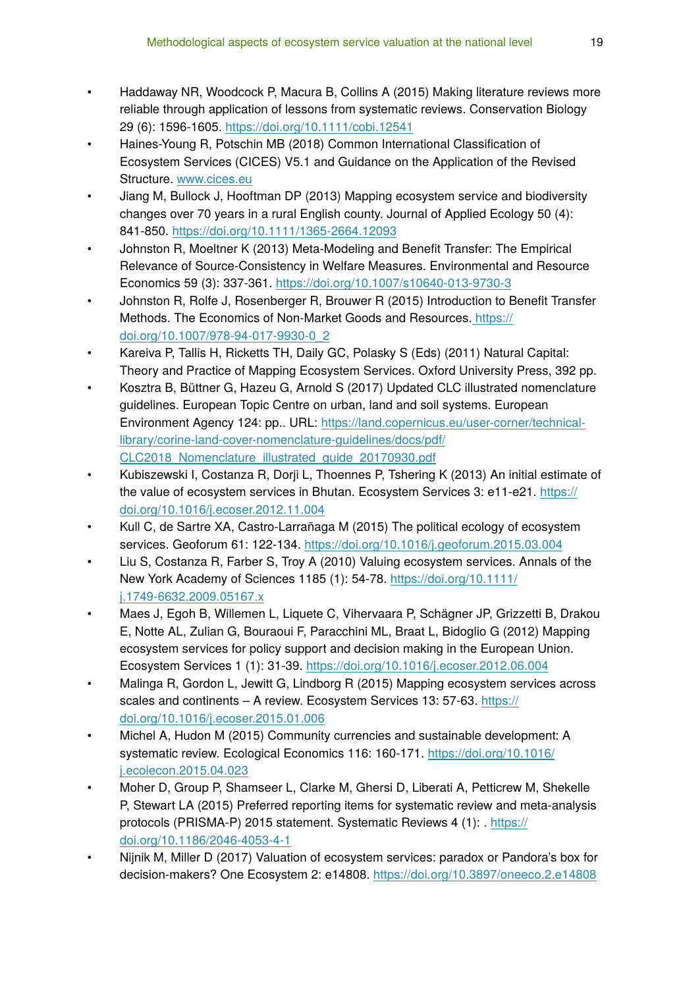- Haddaway NR, Woodcock P, Macura B, Collins A (2015) Making literature reviews more reliable through application of lessons from systematic reviews. Conservation Biology 29 (6): 1596‑1605.<https://doi.org/10.1111/cobi.12541>
- Haines-Young R, Potschin MB (2018) Common International Classification of Ecosystem Services (CICES) V5.1 and Guidance on the Application of the Revised Structure. [www.cices.eu](http://www.cices.eu)
- Jiang M, Bullock J, Hooftman DP (2013) Mapping ecosystem service and biodiversity changes over 70 years in a rural English county. Journal of Applied Ecology 50 (4): 841‑850. <https://doi.org/10.1111/1365-2664.12093>
- Johnston R, Moeltner K (2013) Meta-Modeling and Benefit Transfer: The Empirical Relevance of Source-Consistency in Welfare Measures. Environmental and Resource Economics 59 (3): 337‑361. <https://doi.org/10.1007/s10640-013-9730-3>
- Johnston R, Rolfe J, Rosenberger R, Brouwer R (2015) Introduction to Benefit Transfer Methods. The Economics of Non-Market Goods and Resources. [https://](https://doi.org/10.1007/978-94-017-9930-0_2) [doi.org/10.1007/978-94-017-9930-0\\_2](https://doi.org/10.1007/978-94-017-9930-0_2)
- Kareiva P, Tallis H, Ricketts TH, Daily GC, Polasky S (Eds) (2011) Natural Capital: Theory and Practice of Mapping Ecosystem Services. Oxford University Press, 392 pp.
- Kosztra B, Büttner G, Hazeu G, Arnold S (2017) Updated CLC illustrated nomenclature guidelines. European Topic Centre on urban, land and soil systems. European Environment Agency 124: pp.. URL: [https://land.copernicus.eu/user-corner/technical](https://land.copernicus.eu/user-corner/technical-library/corine-land-cover-nomenclature-guidelines/docs/pdf/CLC2018_Nomenclature_illustrated_guide_20170930.pdf)[library/corine-land-cover-nomenclature-guidelines/docs/pdf/](https://land.copernicus.eu/user-corner/technical-library/corine-land-cover-nomenclature-guidelines/docs/pdf/CLC2018_Nomenclature_illustrated_guide_20170930.pdf) [CLC2018\\_Nomenclature\\_illustrated\\_guide\\_20170930.pdf](https://land.copernicus.eu/user-corner/technical-library/corine-land-cover-nomenclature-guidelines/docs/pdf/CLC2018_Nomenclature_illustrated_guide_20170930.pdf)
- Kubiszewski I, Costanza R, Dorji L, Thoennes P, Tshering K (2013) An initial estimate of the value of ecosystem services in Bhutan. Ecosystem Services 3: e11-e21. [https://](https://doi.org/10.1016/j.ecoser.2012.11.004) [doi.org/10.1016/j.ecoser.2012.11.004](https://doi.org/10.1016/j.ecoser.2012.11.004)
- Kull C, de Sartre XA, Castro-Larrañaga M (2015) The political ecology of ecosystem services. Geoforum 61: 122‑134. <https://doi.org/10.1016/j.geoforum.2015.03.004>
- Liu S, Costanza R, Farber S, Troy A (2010) Valuing ecosystem services. Annals of the New York Academy of Sciences 1185 (1): 54‑78. [https://doi.org/10.1111/](https://doi.org/10.1111/j.1749-6632.2009.05167.x) [j.1749-6632.2009.05167.x](https://doi.org/10.1111/j.1749-6632.2009.05167.x)
- Maes J, Egoh B, Willemen L, Liquete C, Vihervaara P, Schägner JP, Grizzetti B, Drakou E, Notte AL, Zulian G, Bouraoui F, Paracchini ML, Braat L, Bidoglio G (2012) Mapping ecosystem services for policy support and decision making in the European Union. Ecosystem Services 1 (1): 31‑39. <https://doi.org/10.1016/j.ecoser.2012.06.004>
- Malinga R, Gordon L, Jewitt G, Lindborg R (2015) Mapping ecosystem services across scales and continents – A review. Ecosystem Services 13: 57-63. [https://](https://doi.org/10.1016/j.ecoser.2015.01.006) [doi.org/10.1016/j.ecoser.2015.01.006](https://doi.org/10.1016/j.ecoser.2015.01.006)
- Michel A, Hudon M (2015) Community currencies and sustainable development: A systematic review. Ecological Economics 116: 160-171. [https://doi.org/10.1016/](https://doi.org/10.1016/j.ecolecon.2015.04.023) [j.ecolecon.2015.04.023](https://doi.org/10.1016/j.ecolecon.2015.04.023)
- Moher D, Group P, Shamseer L, Clarke M, Ghersi D, Liberati A, Petticrew M, Shekelle P, Stewart LA (2015) Preferred reporting items for systematic review and meta-analysis protocols (PRISMA-P) 2015 statement. Systematic Reviews 4 (1): . [https://](https://doi.org/10.1186/2046-4053-4-1) [doi.org/10.1186/2046-4053-4-1](https://doi.org/10.1186/2046-4053-4-1)
- Nijnik M, Miller D (2017) Valuation of ecosystem services: paradox or Pandora's box for decision-makers? One Ecosystem 2: e14808.<https://doi.org/10.3897/oneeco.2.e14808>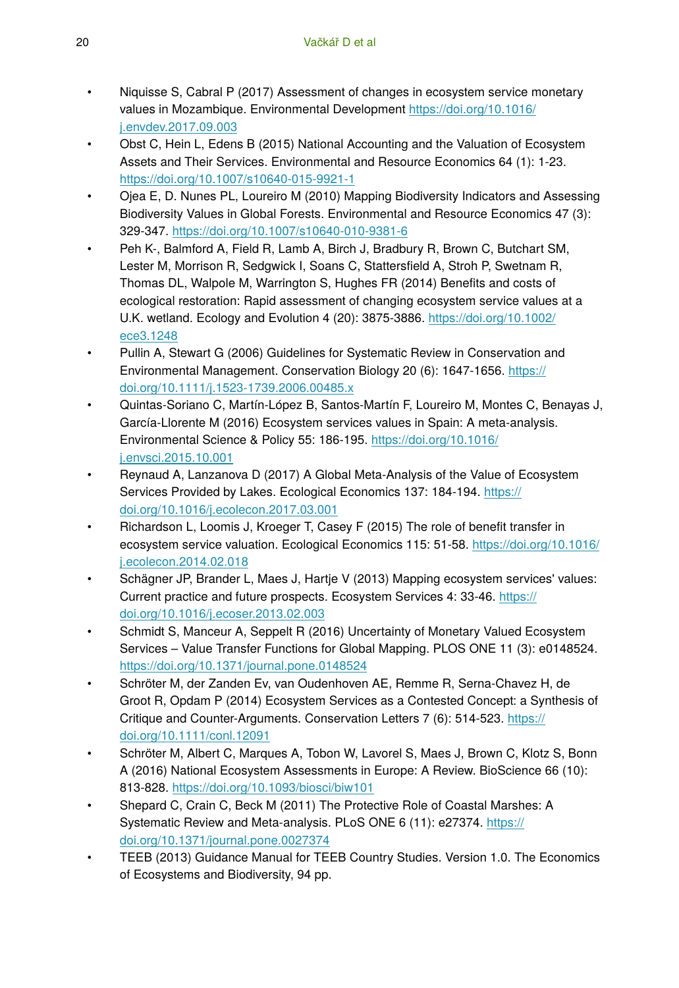- Niquisse S, Cabral P (2017) Assessment of changes in ecosystem service monetary values in Mozambique. Environmental Development [https://doi.org/10.1016/](https://doi.org/10.1016/j.envdev.2017.09.003) [j.envdev.2017.09.003](https://doi.org/10.1016/j.envdev.2017.09.003)
- Obst C, Hein L, Edens B (2015) National Accounting and the Valuation of Ecosystem Assets and Their Services. Environmental and Resource Economics 64 (1): 1‑23. <https://doi.org/10.1007/s10640-015-9921-1>
- Ojea E, D. Nunes PL, Loureiro M (2010) Mapping Biodiversity Indicators and Assessing Biodiversity Values in Global Forests. Environmental and Resource Economics 47 (3): 329‑347. <https://doi.org/10.1007/s10640-010-9381-6>
- Peh K-, Balmford A, Field R, Lamb A, Birch J, Bradbury R, Brown C, Butchart SM, Lester M, Morrison R, Sedgwick I, Soans C, Stattersfield A, Stroh P, Swetnam R, Thomas DL, Walpole M, Warrington S, Hughes FR (2014) Benefits and costs of ecological restoration: Rapid assessment of changing ecosystem service values at a U.K. wetland. Ecology and Evolution 4 (20): 3875‑3886. [https://doi.org/10.1002/](https://doi.org/10.1002/ece3.1248) [ece3.1248](https://doi.org/10.1002/ece3.1248)
- Pullin A, Stewart G (2006) Guidelines for Systematic Review in Conservation and Environmental Management. Conservation Biology 20 (6): 1647‑1656. [https://](https://doi.org/10.1111/j.1523-1739.2006.00485.x) [doi.org/10.1111/j.1523-1739.2006.00485.x](https://doi.org/10.1111/j.1523-1739.2006.00485.x)
- Quintas-Soriano C, Martín-López B, Santos-Martín F, Loureiro M, Montes C, Benayas J, García-Llorente M (2016) Ecosystem services values in Spain: A meta-analysis. Environmental Science & Policy 55: 186‑195. [https://doi.org/10.1016/](https://doi.org/10.1016/j.envsci.2015.10.001) [j.envsci.2015.10.001](https://doi.org/10.1016/j.envsci.2015.10.001)
- Reynaud A, Lanzanova D (2017) A Global Meta-Analysis of the Value of Ecosystem Services Provided by Lakes. Ecological Economics 137: 184-194. [https://](https://doi.org/10.1016/j.ecolecon.2017.03.001) [doi.org/10.1016/j.ecolecon.2017.03.001](https://doi.org/10.1016/j.ecolecon.2017.03.001)
- Richardson L, Loomis J, Kroeger T, Casey F (2015) The role of benefit transfer in ecosystem service valuation. Ecological Economics 115: 51-58. [https://doi.org/10.1016/](https://doi.org/10.1016/j.ecolecon.2014.02.018) [j.ecolecon.2014.02.018](https://doi.org/10.1016/j.ecolecon.2014.02.018)
- Schägner JP, Brander L, Maes J, Hartje V (2013) Mapping ecosystem services' values: Current practice and future prospects. Ecosystem Services 4: 33-46. [https://](https://doi.org/10.1016/j.ecoser.2013.02.003) [doi.org/10.1016/j.ecoser.2013.02.003](https://doi.org/10.1016/j.ecoser.2013.02.003)
- Schmidt S, Manceur A, Seppelt R (2016) Uncertainty of Monetary Valued Ecosystem Services – Value Transfer Functions for Global Mapping. PLOS ONE 11 (3): e0148524. <https://doi.org/10.1371/journal.pone.0148524>
- Schröter M, der Zanden Ev, van Oudenhoven AE, Remme R, Serna-Chavez H, de Groot R, Opdam P (2014) Ecosystem Services as a Contested Concept: a Synthesis of Critique and Counter-Arguments. Conservation Letters 7 (6): 514‑523. [https://](https://doi.org/10.1111/conl.12091) [doi.org/10.1111/conl.12091](https://doi.org/10.1111/conl.12091)
- Schröter M, Albert C, Marques A, Tobon W, Lavorel S, Maes J, Brown C, Klotz S, Bonn A (2016) National Ecosystem Assessments in Europe: A Review. BioScience 66 (10): 813‑828. <https://doi.org/10.1093/biosci/biw101>
- Shepard C, Crain C, Beck M (2011) The Protective Role of Coastal Marshes: A Systematic Review and Meta-analysis. PLoS ONE 6 (11): e27374. [https://](https://doi.org/10.1371/journal.pone.0027374) [doi.org/10.1371/journal.pone.0027374](https://doi.org/10.1371/journal.pone.0027374)
- TEEB (2013) Guidance Manual for TEEB Country Studies. Version 1.0. The Economics of Ecosystems and Biodiversity, 94 pp.